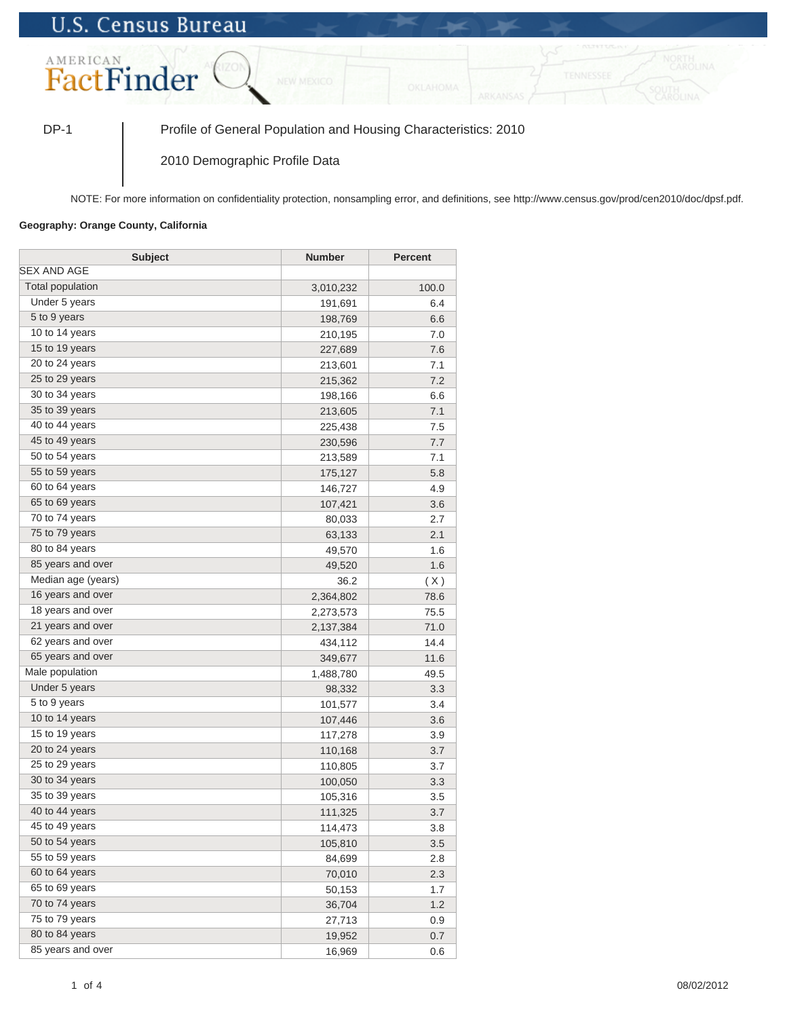## **U.S. Census Bureau**



DP-1 Profile of General Population and Housing Characteristics: 2010

2010 Demographic Profile Data

NOTE: For more information on confidentiality protection, nonsampling error, and definitions, see http://www.census.gov/prod/cen2010/doc/dpsf.pdf.

## **Geography: Orange County, California**

| <b>Subject</b>          | <b>Number</b> | <b>Percent</b> |
|-------------------------|---------------|----------------|
| SEX AND AGE             |               |                |
| <b>Total population</b> | 3,010,232     | 100.0          |
| Under 5 years           | 191,691       | 6.4            |
| 5 to 9 years            | 198,769       | 6.6            |
| 10 to 14 years          | 210,195       | 7.0            |
| 15 to 19 years          | 227,689       | 7.6            |
| 20 to 24 years          | 213,601       | 7.1            |
| 25 to 29 years          | 215,362       | 7.2            |
| 30 to 34 years          | 198,166       | 6.6            |
| 35 to 39 years          | 213,605       | 7.1            |
| 40 to 44 years          | 225,438       | 7.5            |
| 45 to 49 years          | 230,596       | 7.7            |
| 50 to 54 years          | 213,589       | 7.1            |
| 55 to 59 years          | 175,127       | 5.8            |
| 60 to 64 years          | 146,727       | 4.9            |
| 65 to 69 years          | 107,421       | 3.6            |
| 70 to 74 years          | 80,033        | 2.7            |
| 75 to 79 years          | 63,133        | 2.1            |
| 80 to 84 years          | 49,570        | 1.6            |
| 85 years and over       | 49,520        | 1.6            |
| Median age (years)      | 36.2          | (X)            |
| 16 years and over       | 2,364,802     | 78.6           |
| 18 years and over       | 2,273,573     | 75.5           |
| 21 years and over       | 2,137,384     | 71.0           |
| 62 years and over       | 434,112       | 14.4           |
| 65 years and over       | 349,677       | 11.6           |
| Male population         | 1,488,780     | 49.5           |
| Under 5 years           | 98,332        | 3.3            |
| 5 to 9 years            | 101,577       | 3.4            |
| 10 to 14 years          | 107,446       | 3.6            |
| 15 to 19 years          | 117,278       | 3.9            |
| 20 to 24 years          | 110,168       | 3.7            |
| 25 to 29 years          | 110,805       | 3.7            |
| 30 to 34 years          | 100,050       | 3.3            |
| 35 to 39 years          | 105,316       | 3.5            |
| 40 to 44 years          | 111,325       | 3.7            |
| 45 to 49 years          | 114,473       | 3.8            |
| 50 to 54 years          | 105,810       | 3.5            |
| 55 to 59 years          | 84,699        | 2.8            |
| 60 to 64 years          | 70,010        | 2.3            |
| 65 to 69 years          | 50,153        | 1.7            |
| 70 to 74 years          | 36,704        | 1.2            |
| 75 to 79 years          | 27,713        | 0.9            |
| 80 to 84 years          | 19,952        | 0.7            |
| 85 years and over       | 16,969        | 0.6            |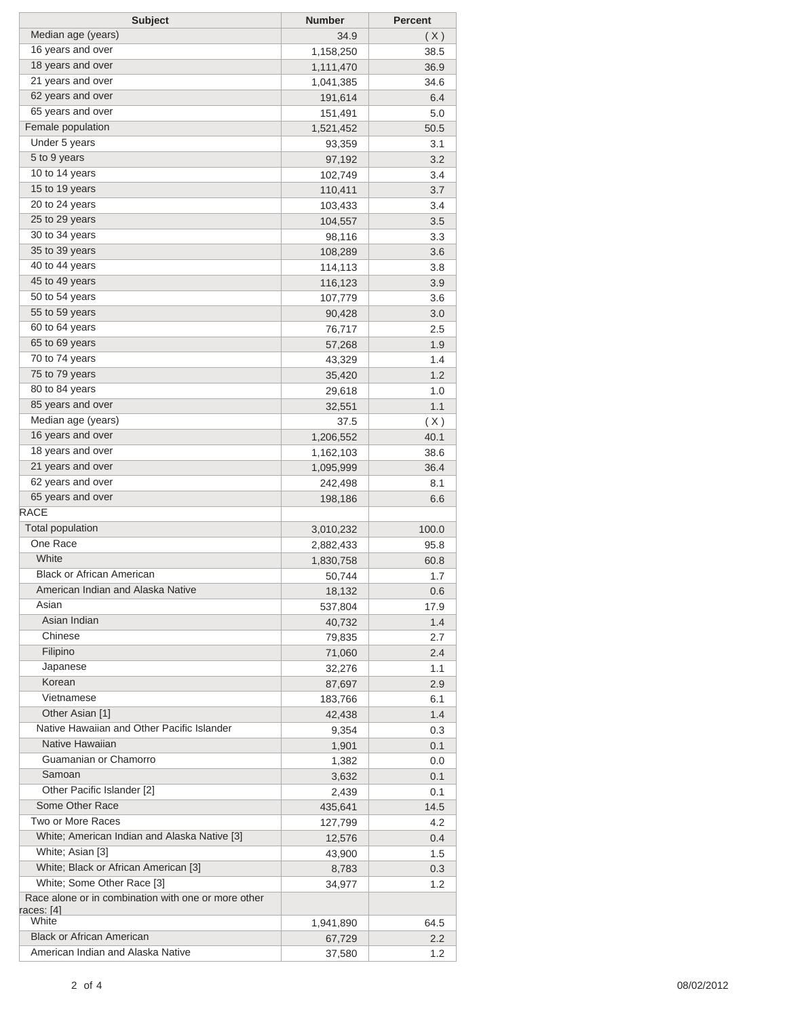| <b>Subject</b>                                                                    | <b>Number</b> | <b>Percent</b>   |
|-----------------------------------------------------------------------------------|---------------|------------------|
| Median age (years)                                                                | 34.9          | (X)              |
| 16 years and over                                                                 | 1,158,250     | 38.5             |
| 18 years and over                                                                 | 1,111,470     | 36.9             |
| 21 years and over                                                                 | 1,041,385     | 34.6             |
| 62 years and over                                                                 | 191,614       | 6.4              |
| 65 years and over                                                                 | 151,491       | 5.0              |
| Female population                                                                 | 1,521,452     | 50.5             |
| Under 5 years                                                                     | 93,359        | 3.1              |
| 5 to 9 years                                                                      | 97,192        | 3.2              |
| 10 to 14 years                                                                    | 102,749       | 3.4              |
| 15 to 19 years                                                                    | 110,411       | 3.7              |
| 20 to 24 years                                                                    | 103,433       | 3.4              |
| 25 to 29 years                                                                    | 104,557       | 3.5              |
| 30 to 34 years                                                                    | 98,116        | 3.3              |
| 35 to 39 years                                                                    | 108,289       | 3.6              |
| 40 to 44 years                                                                    | 114,113       | 3.8              |
| 45 to 49 years                                                                    | 116,123       | 3.9              |
| 50 to 54 years                                                                    | 107,779       | 3.6              |
| 55 to 59 years                                                                    | 90,428        | 3.0              |
| 60 to 64 years                                                                    | 76,717        | 2.5              |
| 65 to 69 years                                                                    | 57,268        | 1.9              |
| 70 to 74 years                                                                    | 43,329        | 1.4              |
| 75 to 79 years                                                                    | 35,420        | 1.2              |
| 80 to 84 years                                                                    | 29,618        | 1.0              |
| 85 years and over                                                                 | 32,551        | 1.1              |
| Median age (years)                                                                | 37.5          | (X)              |
| 16 years and over                                                                 | 1,206,552     | 40.1             |
| 18 years and over                                                                 | 1,162,103     | 38.6             |
| 21 years and over                                                                 | 1,095,999     | 36.4             |
| 62 years and over                                                                 | 242,498       | 8.1              |
| 65 years and over                                                                 | 198,186       | 6.6              |
| <b>RACE</b>                                                                       |               |                  |
| <b>Total population</b>                                                           | 3,010,232     | 100.0            |
| One Race                                                                          | 2,882,433     | 95.8             |
| White                                                                             | 1,830,758     | 60.8             |
| <b>Black or African American</b>                                                  | 50,744        | 1.7              |
| American Indian and Alaska Native                                                 | 18,132        | 0.6              |
| Asian                                                                             | 537,804       | 17.9             |
| Asian Indian                                                                      | 40,732        | 1.4              |
| Chinese                                                                           | 79,835        | 2.7              |
| Filipino                                                                          | 71,060        | 2.4              |
| Japanese                                                                          | 32,276        | 1.1              |
| Korean                                                                            | 87,697        | 2.9              |
| Vietnamese                                                                        | 183,766       | 6.1              |
| Other Asian [1]                                                                   | 42,438        | 1.4              |
| Native Hawaiian and Other Pacific Islander                                        | 9,354         | 0.3              |
| Native Hawaiian                                                                   | 1,901         | 0.1              |
| Guamanian or Chamorro                                                             | 1,382         | 0.0              |
| Samoan                                                                            | 3,632         | 0.1              |
| Other Pacific Islander [2]                                                        | 2,439         | 0.1              |
| Some Other Race                                                                   | 435,641       | 14.5             |
| Two or More Races                                                                 | 127,799       | 4.2              |
| White; American Indian and Alaska Native [3]                                      | 12,576        | 0.4              |
| White; Asian [3]                                                                  | 43,900        | 1.5              |
| White; Black or African American [3]                                              | 8,783         | 0.3              |
| White; Some Other Race [3]<br>Race alone or in combination with one or more other | 34,977        | 1.2              |
| races: [4]                                                                        |               |                  |
| White                                                                             | 1,941,890     | 64.5             |
| <b>Black or African American</b>                                                  | 67,729        | $2.2\phantom{0}$ |
| American Indian and Alaska Native                                                 | 37,580        | 1.2              |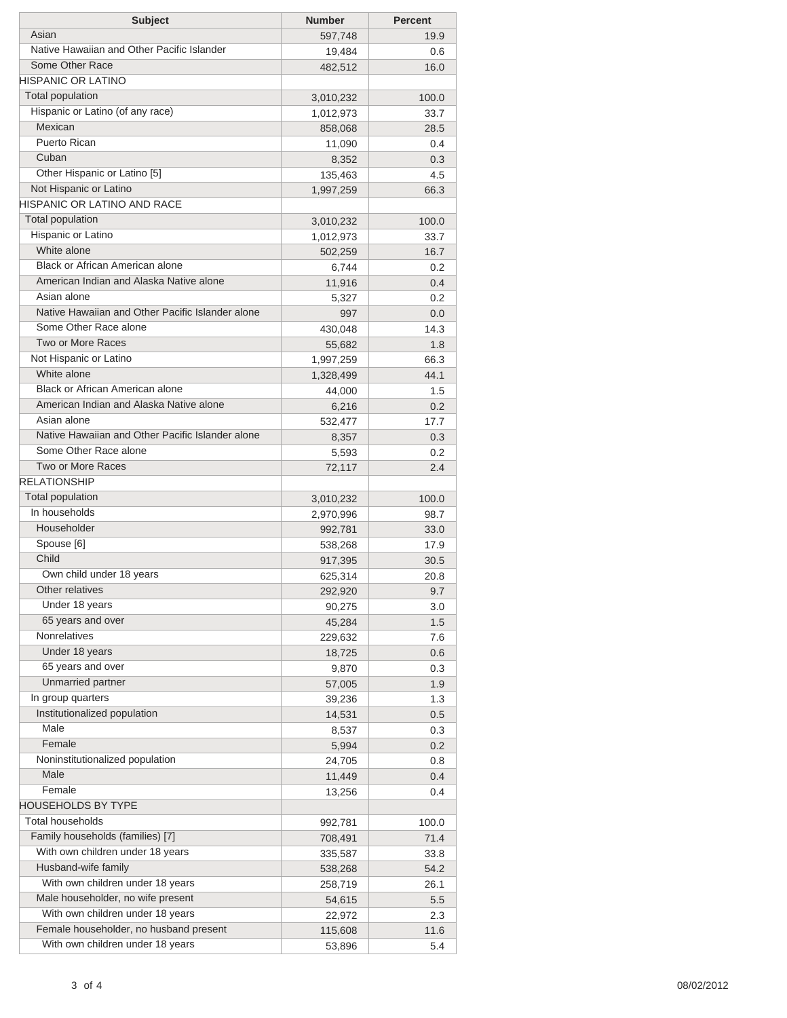| <b>Subject</b>                                   | <b>Number</b> | <b>Percent</b> |
|--------------------------------------------------|---------------|----------------|
| Asian                                            | 597,748       | 19.9           |
| Native Hawaiian and Other Pacific Islander       | 19,484        | 0.6            |
| Some Other Race                                  | 482,512       | 16.0           |
| <b>HISPANIC OR LATINO</b>                        |               |                |
| Total population                                 | 3,010,232     | 100.0          |
| Hispanic or Latino (of any race)                 | 1,012,973     | 33.7           |
| Mexican                                          | 858,068       | 28.5           |
| <b>Puerto Rican</b>                              | 11,090        | 0.4            |
| Cuban                                            | 8,352         | 0.3            |
| Other Hispanic or Latino [5]                     | 135,463       | 4.5            |
| Not Hispanic or Latino                           | 1,997,259     | 66.3           |
| HISPANIC OR LATINO AND RACE                      |               |                |
| Total population                                 | 3,010,232     | 100.0          |
| Hispanic or Latino                               | 1,012,973     | 33.7           |
| White alone                                      | 502,259       | 16.7           |
| Black or African American alone                  | 6,744         | 0.2            |
| American Indian and Alaska Native alone          | 11,916        | 0.4            |
| Asian alone                                      | 5,327         | 0.2            |
| Native Hawaiian and Other Pacific Islander alone | 997           | 0.0            |
| Some Other Race alone                            | 430,048       | 14.3           |
| Two or More Races                                | 55,682        | 1.8            |
| Not Hispanic or Latino                           | 1,997,259     | 66.3           |
| White alone                                      | 1,328,499     | 44.1           |
| Black or African American alone                  | 44,000        | 1.5            |
| American Indian and Alaska Native alone          | 6,216         | 0.2            |
| Asian alone                                      | 532,477       | 17.7           |
| Native Hawaiian and Other Pacific Islander alone | 8,357         | 0.3            |
| Some Other Race alone                            | 5,593         | 0.2            |
| Two or More Races                                | 72,117        | 2.4            |
| <b>RELATIONSHIP</b>                              |               |                |
| Total population                                 | 3,010,232     | 100.0          |
| In households                                    | 2,970,996     | 98.7           |
| Householder                                      | 992,781       | 33.0           |
| Spouse [6]                                       | 538,268       | 17.9           |
| Child                                            | 917,395       | 30.5           |
| Own child under 18 years                         | 625,314       | 20.8           |
| Other relatives                                  | 292,920       | 9.7            |
| Under 18 years                                   | 90,275        | 3.0            |
| 65 years and over                                | 45,284        | 1.5            |
| Nonrelatives                                     | 229,632       | 7.6            |
| Under 18 years                                   | 18,725        | 0.6            |
| 65 years and over                                | 9,870         | 0.3            |
| Unmarried partner                                | 57,005        | 1.9            |
| In group quarters                                | 39,236        | 1.3            |
| Institutionalized population                     | 14,531        | 0.5            |
| Male                                             | 8,537         | 0.3            |
| Female                                           | 5,994         | 0.2            |
| Noninstitutionalized population                  | 24,705        | 0.8            |
| Male                                             | 11,449        | 0.4            |
| Female                                           | 13,256        | 0.4            |
| <b>HOUSEHOLDS BY TYPE</b>                        |               |                |
| <b>Total households</b>                          | 992,781       | 100.0          |
| Family households (families) [7]                 | 708,491       | 71.4           |
| With own children under 18 years                 | 335,587       | 33.8           |
| Husband-wife family                              | 538,268       | 54.2           |
| With own children under 18 years                 | 258,719       | 26.1           |
| Male householder, no wife present                | 54,615        | 5.5            |
| With own children under 18 years                 | 22,972        | 2.3            |
| Female householder, no husband present           | 115,608       | 11.6           |
| With own children under 18 years                 | 53,896        | 5.4            |
|                                                  |               |                |